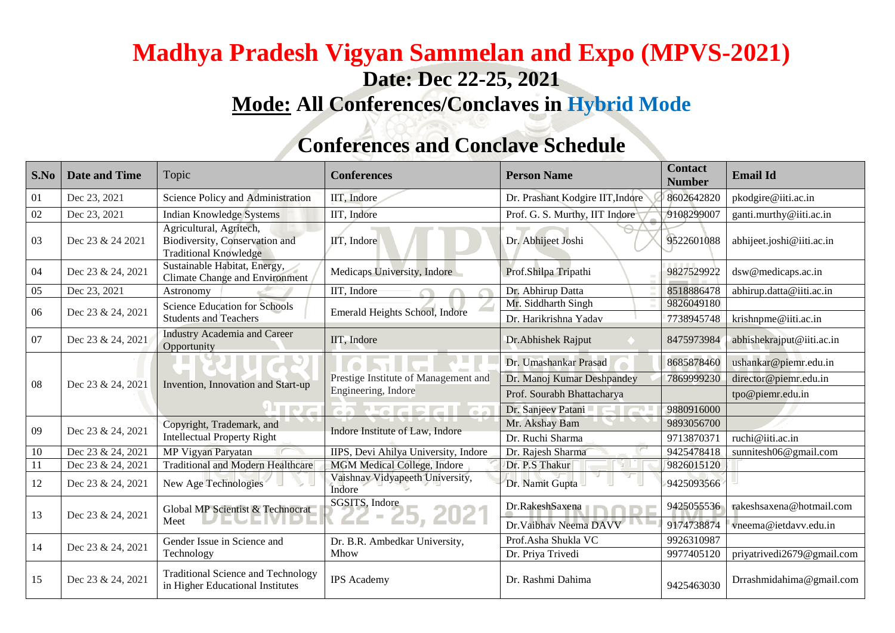## **Madhya Pradesh Vigyan Sammelan and Expo (MPVS-2021) Date: Dec 22-25, 2021 Mode: All Conferences/Conclaves in Hybrid Mode**

| S.No | <b>Date and Time</b> | Topic                                                                                     | <b>Conferences</b>                                          | <b>Person Name</b>               | <b>Contact</b><br><b>Number</b> | <b>Email Id</b>            |
|------|----------------------|-------------------------------------------------------------------------------------------|-------------------------------------------------------------|----------------------------------|---------------------------------|----------------------------|
| 01   | Dec 23, 2021         | Science Policy and Administration                                                         | IIT, Indore                                                 | Dr. Prashant Kodgire IIT, Indore | 8602642820                      | pkodgire@iiti.ac.in        |
| 02   | Dec 23, 2021         | Indian Knowledge Systems                                                                  | IIT, Indore                                                 | Prof. G. S. Murthy, IIT Indore   | 9108299007                      | ganti.murthy@iiti.ac.in    |
| 03   | Dec 23 & 24 2021     | Agricultural, Agritech,<br>Biodiversity, Conservation and<br><b>Traditional Knowledge</b> | IIT, Indore                                                 | Dr. Abhijeet Joshi               | 9522601088                      | abhijeet.joshi@iiti.ac.in  |
| 04   | Dec 23 & 24, 2021    | Sustainable Habitat, Energy,<br>Climate Change and Environment                            | Medicaps University, Indore                                 | Prof.Shilpa Tripathi             | 9827529922                      | dsw@medicaps.ac.in         |
| 05   | Dec 23, 2021         | Astronomy                                                                                 | IIT, Indore                                                 | Dr. Abhirup Datta                | 8518886478                      | abhirup.datta@iiti.ac.in   |
| 06   | Dec 23 & 24, 2021    | <b>Science Education for Schools</b><br><b>Students and Teachers</b>                      | Emerald Heights School, Indore                              | Mr. Siddharth Singh              | 9826049180                      |                            |
|      |                      |                                                                                           |                                                             | Dr. Harikrishna Yadav            | 7738945748                      | krishnpme@iiti.ac.in       |
| 07   | Dec 23 & 24, 2021    | <b>Industry Academia and Career</b><br>Opportunity                                        | IIT, Indore                                                 | Dr. Abhishek Rajput              | 8475973984                      | abhishekrajput@iiti.ac.in  |
| 08   | Dec 23 & 24, 2021    | Invention, Innovation and Start-up<br>IPE                                                 | Prestige Institute of Management and<br>Engineering, Indore | Dr. Umashankar Prasad            | 8685878460                      | ushankar@piemr.edu.in      |
|      |                      |                                                                                           |                                                             | Dr. Manoj Kumar Deshpandey       | 7869999230                      | director@piemr.edu.in      |
|      |                      |                                                                                           |                                                             | Prof. Sourabh Bhattacharya       |                                 | tpo@piemr.edu.in           |
|      |                      |                                                                                           | 6 Z<br>EIS.                                                 | Dr. Sanjeev Patani               | 9880916000                      |                            |
| 09   | Dec 23 & 24, 2021    | Copyright, Trademark, and<br><b>Intellectual Property Right</b>                           | Indore Institute of Law, Indore                             | Mr. Akshay Bam                   | 9893056700                      |                            |
|      |                      |                                                                                           |                                                             | Dr. Ruchi Sharma                 | 9713870371                      | ruchi@iiti.ac.in           |
| 10   | Dec 23 & 24, 2021    | MP Vigyan Paryatan                                                                        | IIPS, Devi Ahilya University, Indore                        | Dr. Rajesh Sharma                | 9425478418                      | sunnitesh06@gmail.com      |
| 11   | Dec 23 & 24, 2021    | <b>Traditional and Modern Healthcare</b>                                                  | <b>MGM Medical College, Indore</b>                          | Dr. P.S Thakur                   | 9826015120                      |                            |
| 12   | Dec 23 & 24, 2021    | New Age Technologies                                                                      | Vaishnav Vidyapeeth University,<br>Indore                   | Dr. Namit Gupta                  | 9425093566                      |                            |
| 13   | Dec 23 & 24, 2021    | Global MP Scientist & Technocrat<br>Meet                                                  | SGSITS, Indore<br>, 2021<br><b>COL</b>                      | Dr.RakeshSaxena                  | 9425055536                      | rakeshsaxena@hotmail.com   |
|      |                      |                                                                                           |                                                             | Dr. Vaibhav Neema DAVV           | 9174738874                      | vneema@ietdavv.edu.in      |
| 14   | Dec 23 & 24, 2021    | Gender Issue in Science and                                                               | Dr. B.R. Ambedkar University,                               | Prof.Asha Shukla VC              | 9926310987                      |                            |
|      |                      | Technology                                                                                | Mhow                                                        | Dr. Priya Trivedi                | 9977405120                      | priyatrivedi2679@gmail.com |
| 15   | Dec 23 & 24, 2021    | <b>Traditional Science and Technology</b><br>in Higher Educational Institutes             | <b>IPS</b> Academy                                          | Dr. Rashmi Dahima                | 9425463030                      | Drrashmidahima@gmail.com   |

## **Conferences and Conclave Schedule**